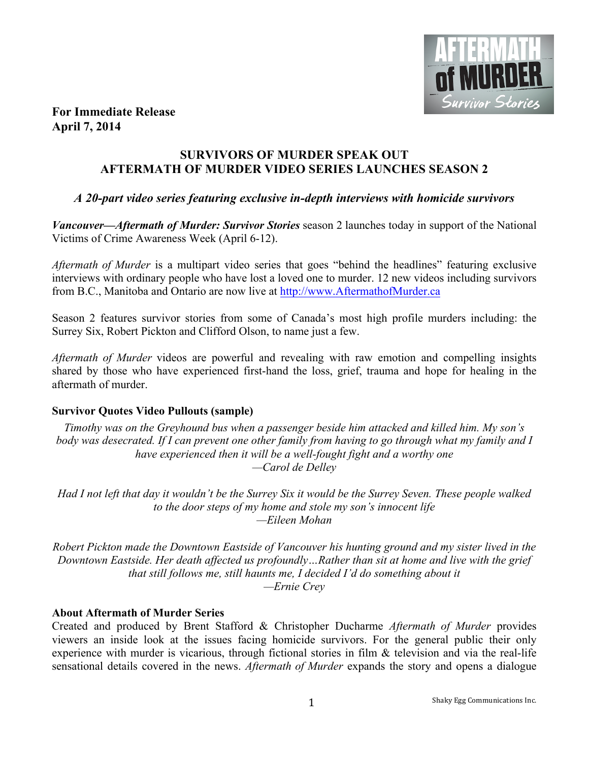

## **For Immediate Release April 7, 2014**

## **SURVIVORS OF MURDER SPEAK OUT AFTERMATH OF MURDER VIDEO SERIES LAUNCHES SEASON 2**

# *A 20-part video series featuring exclusive in-depth interviews with homicide survivors*

*Vancouver—Aftermath of Murder: Survivor Stories* season 2 launches today in support of the National Victims of Crime Awareness Week (April 6-12).

*Aftermath of Murder* is a multipart video series that goes "behind the headlines" featuring exclusive interviews with ordinary people who have lost a loved one to murder. 12 new videos including survivors from B.C., Manitoba and Ontario are now live at http://www.AftermathofMurder.ca

Season 2 features survivor stories from some of Canada's most high profile murders including: the Surrey Six, Robert Pickton and Clifford Olson, to name just a few.

*Aftermath of Murder* videos are powerful and revealing with raw emotion and compelling insights shared by those who have experienced first-hand the loss, grief, trauma and hope for healing in the aftermath of murder.

## **Survivor Quotes Video Pullouts (sample)**

*Timothy was on the Greyhound bus when a passenger beside him attacked and killed him. My son's body was desecrated. If I can prevent one other family from having to go through what my family and I have experienced then it will be a well-fought fight and a worthy one —Carol de Delley*

*Had I not left that day it wouldn't be the Surrey Six it would be the Surrey Seven. These people walked to the door steps of my home and stole my son's innocent life —Eileen Mohan*

*Robert Pickton made the Downtown Eastside of Vancouver his hunting ground and my sister lived in the Downtown Eastside. Her death affected us profoundly…Rather than sit at home and live with the grief that still follows me, still haunts me, I decided I'd do something about it —Ernie Crey*

## **About Aftermath of Murder Series**

Created and produced by Brent Stafford & Christopher Ducharme *Aftermath of Murder* provides viewers an inside look at the issues facing homicide survivors. For the general public their only experience with murder is vicarious, through fictional stories in film & television and via the real-life sensational details covered in the news. *Aftermath of Murder* expands the story and opens a dialogue